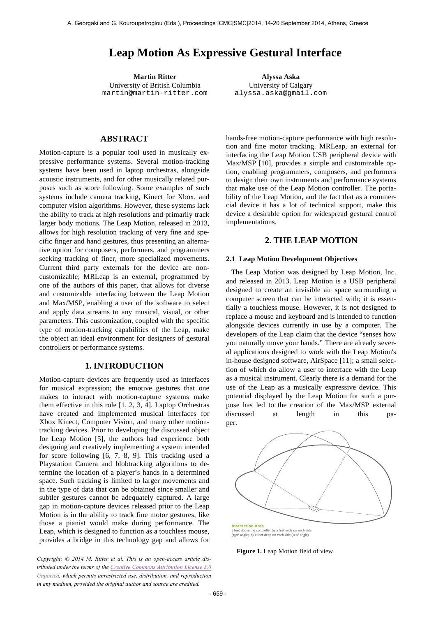# **Leap Motion As Expressive Gestural Interface**

**Martin Ritter Alyssa Aska** University of British Columbia martin@martin-ritter.com

University of Calgary alyssa.aska@gmail.com

## **ABSTRACT**

Motion-capture is a popular tool used in musically expressive performance systems. Several motion-tracking systems have been used in laptop orchestras, alongside acoustic instruments, and for other musically related purposes such as score following. Some examples of such systems include camera tracking, Kinect for Xbox, and computer vision algorithms. However, these systems lack the ability to track at high resolutions and primarily track larger body motions. The Leap Motion, released in 2013, allows for high resolution tracking of very fine and specific finger and hand gestures, thus presenting an alternative option for composers, performers, and programmers seeking tracking of finer, more specialized movements. Current third party externals for the device are noncustomizable; MRLeap is an external, programmed by one of the authors of this paper, that allows for diverse and customizable interfacing between the Leap Motion and Max/MSP, enabling a user of the software to select and apply data streams to any musical, visual, or other parameters. This customization, coupled with the specific type of motion-tracking capabilities of the Leap, make the object an ideal environment for designers of gestural controllers or performance systems.

## **1. INTRODUCTION**

Motion-capture devices are frequently used as interfaces for musical expression; the emotive gestures that one makes to interact with motion-capture systems make them effective in this role [1, 2, 3, 4]. Laptop Orchestras have created and implemented musical interfaces for Xbox Kinect, Computer Vision, and many other motiontracking devices. Prior to developing the discussed object for Leap Motion [5], the authors had experience both designing and creatively implementing a system intended for score following [6, 7, 8, 9]. This tracking used a Playstation Camera and blobtracking algorithms to determine the location of a player's hands in a determined space. Such tracking is limited to larger movements and in the type of data that can be obtained since smaller and subtler gestures cannot be adequately captured. A large gap in motion-capture devices released prior to the Leap Motion is in the ability to track fine motor gestures, like those a pianist would make during performance. The Leap, which is designed to function as a touchless mouse, provides a bridge in this technology gap and allows for

*Copyright: © 2014 M. Ritter et al. This is an open-access article distributed under the terms of the Creative Commons Attribution License 3.0 Unported, which permits unrestricted use, distribution, and reproduction in any medium, provided the original author and source are credited.*

hands-free motion-capture performance with high resolution and fine motor tracking. MRLeap, an external for interfacing the Leap Motion USB peripheral device with Max/MSP [10], provides a simple and customizable option, enabling programmers, composers, and performers to design their own instruments and performance systems that make use of the Leap Motion controller. The portability of the Leap Motion, and the fact that as a commercial device it has a lot of technical support, make this device a desirable option for widespread gestural control implementations.

## **2. THE LEAP MOTION**

#### **2.1 Leap Motion Development Objectives**

The Leap Motion was designed by Leap Motion, Inc. and released in 2013. Leap Motion is a USB peripheral designed to create an invisible air space surrounding a computer screen that can be interacted with; it is essentially a touchless mouse. However, it is not designed to replace a mouse and keyboard and is intended to function alongside devices currently in use by a computer. The developers of the Leap claim that the device "senses how you naturally move your hands." There are already several applications designed to work with the Leap Motion's in-house designed software, AirSpace [11]; a small selection of which do allow a user to interface with the Leap as a musical instrument. Clearly there is a demand for the use of the Leap as a musically expressive device. This potential displayed by the Leap Motion for such a purpose has led to the creation of the Max/MSP external discussed at length in this paper.



2 feet above the controller, by 2 feet wide on each side (150° angle), by 2 feet deep on each side (120° angle)

**Figure 1.** Leap Motion field of view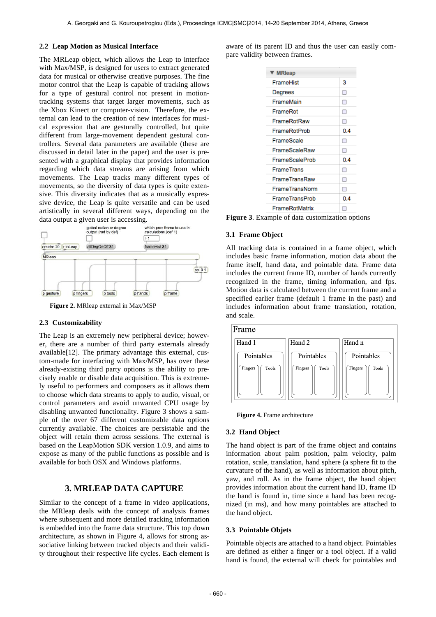#### **2.2 Leap Motion as Musical Interface**

The MRLeap object, which allows the Leap to interface with Max/MSP, is designed for users to extract generated data for musical or otherwise creative purposes. The fine motor control that the Leap is capable of tracking allows for a type of gestural control not present in motiontracking systems that target larger movements, such as the Xbox Kinect or computer-vision. Therefore, the external can lead to the creation of new interfaces for musical expression that are gesturally controlled, but quite different from large-movement dependent gestural controllers. Several data parameters are available (these are discussed in detail later in the paper) and the user is presented with a graphical display that provides information regarding which data streams are arising from which movements. The Leap tracks many different types of movements, so the diversity of data types is quite extensive. This diversity indicates that as a musically expressive device, the Leap is quite versatile and can be used artistically in several different ways, depending on the data output a given user is accessing.



**Figure 2.** MRleap external in Max/MSP

## **2.3 Customizability**

The Leap is an extremely new peripheral device; however, there are a number of third party externals already available[12]. The primary advantage this external, custom-made for interfacing with Max/MSP, has over these already-existing third party options is the ability to precisely enable or disable data acquisition. This is extremely useful to performers and composers as it allows them to choose which data streams to apply to audio, visual, or control parameters and avoid unwanted CPU usage by disabling unwanted functionality. Figure 3 shows a sample of the over 67 different customizable data options currently available. The choices are persistable and the object will retain them across sessions. The external is based on the LeapMotion SDK version 1.0.9, and aims to expose as many of the public functions as possible and is available for both OSX and Windows platforms.

# **3. MRLEAP DATA CAPTURE**

Similar to the concept of a frame in video applications, the MRleap deals with the concept of analysis frames where subsequent and more detailed tracking information is embedded into the frame data structure. This top down architecture, as shown in Figure 4, allows for strong associative linking between tracked objects and their validity throughout their respective life cycles. Each element is aware of its parent ID and thus the user can easily compare validity between frames.

| ▼ MRleap          |     |
|-------------------|-----|
| FrameHist         | з   |
| Degrees           | П   |
| FrameMain         | □   |
| FrameRot          | ⊓   |
| FrameRotRaw       | Π   |
| FrameRotProb      | 0.4 |
| FrameScale        | Ω   |
| FrameScaleRaw     | П   |
| FrameScaleProb    | 0.4 |
| <b>FrameTrans</b> | Π   |
| FrameTransRaw     | ⊓   |
| FrameTransNorm    | Π   |
| FrameTransProb    | 0.4 |
| FrameRotMatrix    | г   |

**Figure 3**. Example of data customization options

## **3.1 Frame Object**

All tracking data is contained in a frame object, which includes basic frame information, motion data about the frame itself, hand data, and pointable data. Frame data includes the current frame ID, number of hands currently recognized in the frame, timing information, and fps. Motion data is calculated between the current frame and a specified earlier frame (default 1 frame in the past) and includes information about frame translation, rotation, and scale.





**Figure 4.** Frame architecture

#### **3.2 Hand Object**

The hand object is part of the frame object and contains information about palm position, palm velocity, palm rotation, scale, translation, hand sphere (a sphere fit to the curvature of the hand), as well as information about pitch, yaw, and roll. As in the frame object, the hand object provides information about the current hand ID, frame ID the hand is found in, time since a hand has been recognized (in ms), and how many pointables are attached to the hand object.

#### **3.3 Pointable Objets**

Pointable objects are attached to a hand object. Pointables are defined as either a finger or a tool object. If a valid hand is found, the external will check for pointables and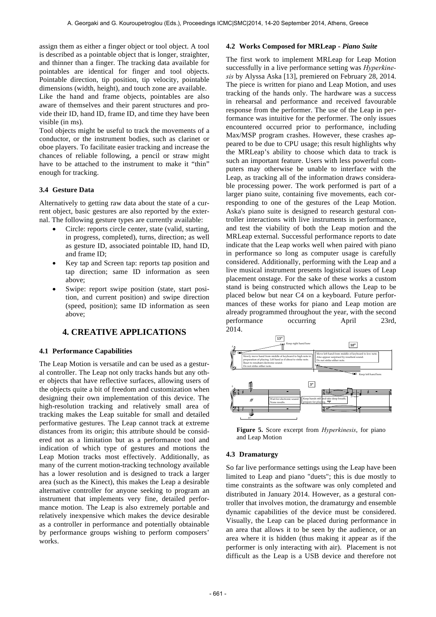assign them as either a finger object or tool object. A tool is described as a pointable object that is longer, straighter, and thinner than a finger. The tracking data available for pointables are identical for finger and tool objects. Pointable direction, tip position, tip velocity, pointable dimensions (width, height), and touch zone are available. Like the hand and frame objects, pointables are also aware of themselves and their parent structures and provide their ID, hand ID, frame ID, and time they have been visible (in ms).

Tool objects might be useful to track the movements of a conductor, or the instrument bodies, such as clarinet or oboe players. To facilitate easier tracking and increase the chances of reliable following, a pencil or straw might have to be attached to the instrument to make it "thin" enough for tracking.

### **3.4 Gesture Data**

Alternatively to getting raw data about the state of a current object, basic gestures are also reported by the external. The following gesture types are currently available:

- Circle: reports circle center, state (valid, starting, in progress, completed), turns, direction; as well as gesture ID, associated pointable ID, hand ID, and frame ID;
- Key tap and Screen tap: reports tap position and tap direction; same ID information as seen above;
- Swipe: report swipe position (state, start position, and current position) and swipe direction (speed, position); same ID information as seen above;

# **4. CREATIVE APPLICATIONS**

#### **4.1 Performance Capabilities**

The Leap Motion is versatile and can be used as a gestural controller. The Leap not only tracks hands but any other objects that have reflective surfaces, allowing users of the objects quite a bit of freedom and customization when designing their own implementation of this device. The high-resolution tracking and relatively small area of tracking makes the Leap suitable for small and detailed performative gestures. The Leap cannot track at extreme distances from its origin; this attribute should be considered not as a limitation but as a performance tool and indication of which type of gestures and motions the Leap Motion tracks most effectively. Additionally, as many of the current motion-tracking technology available has a lower resolution and is designed to track a larger area (such as the Kinect), this makes the Leap a desirable alternative controller for anyone seeking to program an instrument that implements very fine, detailed performance motion. The Leap is also extremely portable and relatively inexpensive which makes the device desirable as a controller in performance and potentially obtainable by performance groups wishing to perform composers' works.

### **4.2 Works Composed for MRLeap -** *Piano Suite*

The first work to implement MRLeap for Leap Motion successfully in a live performance setting was *Hyperkinesis* by Alyssa Aska [13], premiered on February 28, 2014. The piece is written for piano and Leap Motion, and uses tracking of the hands only. The hardware was a success in rehearsal and performance and received favourable response from the performer. The use of the Leap in performance was intuitive for the performer. The only issues encountered occurred prior to performance, including Max/MSP program crashes. However, these crashes appeared to be due to CPU usage; this result highlights why the MRLeap's ability to choose which data to track is such an important feature. Users with less powerful computers may otherwise be unable to interface with the Leap, as tracking all of the information draws considerable processing power. The work performed is part of a larger piano suite, containing five movements, each corresponding to one of the gestures of the Leap Motion. Aska's piano suite is designed to research gestural controller interactions with live instruments in performance, and test the viability of both the Leap motion and the MRLeap external. Successful performance reports to date indicate that the Leap works well when paired with piano in performance so long as computer usage is carefully considered. Additionally, performing with the Leap and a live musical instrument presents logistical issues of Leap placement onstage. For the sake of these works a custom **1** stand is being constructed which allows the Leap to be placed below but near C4 on a keyboard. Future performances of these works for piano and Leap motion are already programmed throughout the year, with the second & performance occurring April 23rd, 2014.



Figure 5. Score excerpt from *Hyperkinesis*, for piano and Leap Motion

# ? 4 **4.3 Dramaturgy**

So far live performance settings using the Leap have been distributed in January 2014. However, as a gestural contime constraints as the software was only completed and limited to Leap and piano "duets"; this is due mostly to troller that involves motion, the dramaturgy and ensemble dynamic capabilities of the device must be considered. Visually, the Leap can be placed during performance in an area that allows it to be seen by the audience, or an area where it is hidden (thus making it appear as if the performer is only interacting with air). Placement is not difficult as the Leap is a USB device and therefore not